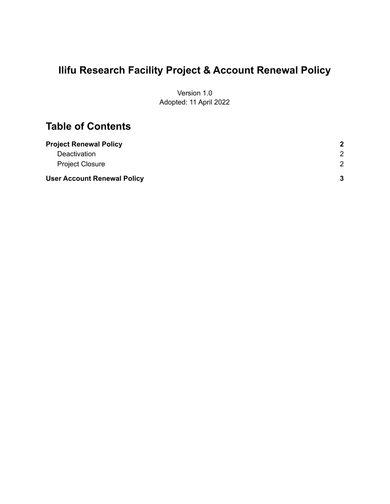# **Ilifu Research Facility Project & Account Renewal Policy**

Version 1.0 Adopted: 11 April 2022

### **Table of Contents**

| <b>Project Renewal Policy</b>      | $\mathbf{2}$  |
|------------------------------------|---------------|
| Deactivation                       | 2             |
| <b>Project Closure</b>             | $\mathcal{P}$ |
| <b>User Account Renewal Policy</b> | 3             |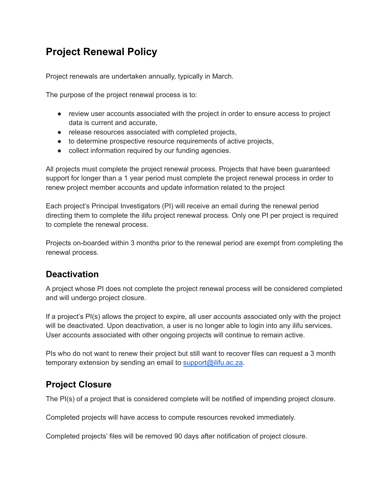# <span id="page-1-0"></span>**Project Renewal Policy**

Project renewals are undertaken annually, typically in March.

The purpose of the project renewal process is to:

- review user accounts associated with the project in order to ensure access to project data is current and accurate,
- release resources associated with completed projects,
- to determine prospective resource requirements of active projects,
- collect information required by our funding agencies.

All projects must complete the project renewal process. Projects that have been guaranteed support for longer than a 1 year period must complete the project renewal process in order to renew project member accounts and update information related to the project

Each project's Principal Investigators (PI) will receive an email during the renewal period directing them to complete the ilifu project renewal process. Only one PI per project is required to complete the renewal process.

Projects on-boarded within 3 months prior to the renewal period are exempt from completing the renewal process.

#### <span id="page-1-1"></span>**Deactivation**

A project whose PI does not complete the project renewal process will be considered completed and will undergo project closure.

If a project's PI(s) allows the project to expire, all user accounts associated only with the project will be deactivated. Upon deactivation, a user is no longer able to login into any ilifu services. User accounts associated with other ongoing projects will continue to remain active.

PIs who do not want to renew their project but still want to recover files can request a 3 month temporary extension by sending an email to [support@ilifu.ac.za](mailto:support@ilifu.ac.za).

#### <span id="page-1-2"></span>**Project Closure**

The PI(s) of a project that is considered complete will be notified of impending project closure.

Completed projects will have access to compute resources revoked immediately.

Completed projects' files will be removed 90 days after notification of project closure.